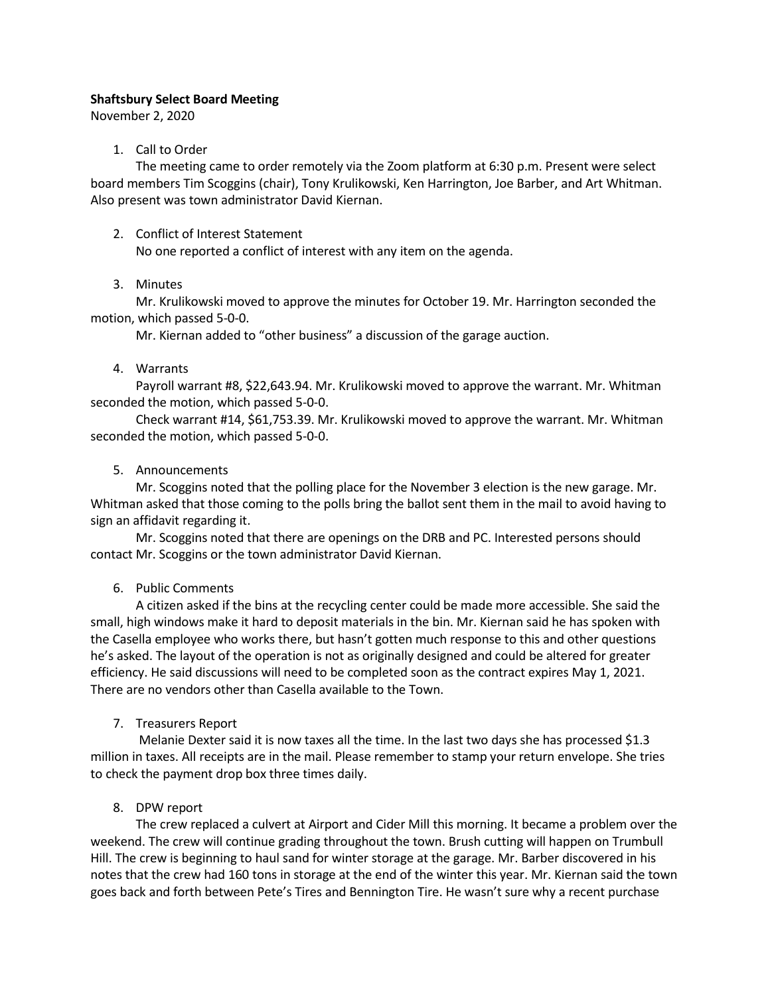### Shaftsbury Select Board Meeting

November 2, 2020

# 1. Call to Order

The meeting came to order remotely via the Zoom platform at 6:30 p.m. Present were select board members Tim Scoggins (chair), Tony Krulikowski, Ken Harrington, Joe Barber, and Art Whitman. Also present was town administrator David Kiernan.

2. Conflict of Interest Statement

No one reported a conflict of interest with any item on the agenda.

# 3. Minutes

Mr. Krulikowski moved to approve the minutes for October 19. Mr. Harrington seconded the motion, which passed 5-0-0.

Mr. Kiernan added to "other business" a discussion of the garage auction.

# 4. Warrants

Payroll warrant #8, \$22,643.94. Mr. Krulikowski moved to approve the warrant. Mr. Whitman seconded the motion, which passed 5-0-0.

Check warrant #14, \$61,753.39. Mr. Krulikowski moved to approve the warrant. Mr. Whitman seconded the motion, which passed 5-0-0.

# 5. Announcements

Mr. Scoggins noted that the polling place for the November 3 election is the new garage. Mr. Whitman asked that those coming to the polls bring the ballot sent them in the mail to avoid having to sign an affidavit regarding it.

Mr. Scoggins noted that there are openings on the DRB and PC. Interested persons should contact Mr. Scoggins or the town administrator David Kiernan.

# 6. Public Comments

A citizen asked if the bins at the recycling center could be made more accessible. She said the small, high windows make it hard to deposit materials in the bin. Mr. Kiernan said he has spoken with the Casella employee who works there, but hasn't gotten much response to this and other questions he's asked. The layout of the operation is not as originally designed and could be altered for greater efficiency. He said discussions will need to be completed soon as the contract expires May 1, 2021. There are no vendors other than Casella available to the Town.

# 7. Treasurers Report

Melanie Dexter said it is now taxes all the time. In the last two days she has processed \$1.3 million in taxes. All receipts are in the mail. Please remember to stamp your return envelope. She tries to check the payment drop box three times daily.

# 8. DPW report

The crew replaced a culvert at Airport and Cider Mill this morning. It became a problem over the weekend. The crew will continue grading throughout the town. Brush cutting will happen on Trumbull Hill. The crew is beginning to haul sand for winter storage at the garage. Mr. Barber discovered in his notes that the crew had 160 tons in storage at the end of the winter this year. Mr. Kiernan said the town goes back and forth between Pete's Tires and Bennington Tire. He wasn't sure why a recent purchase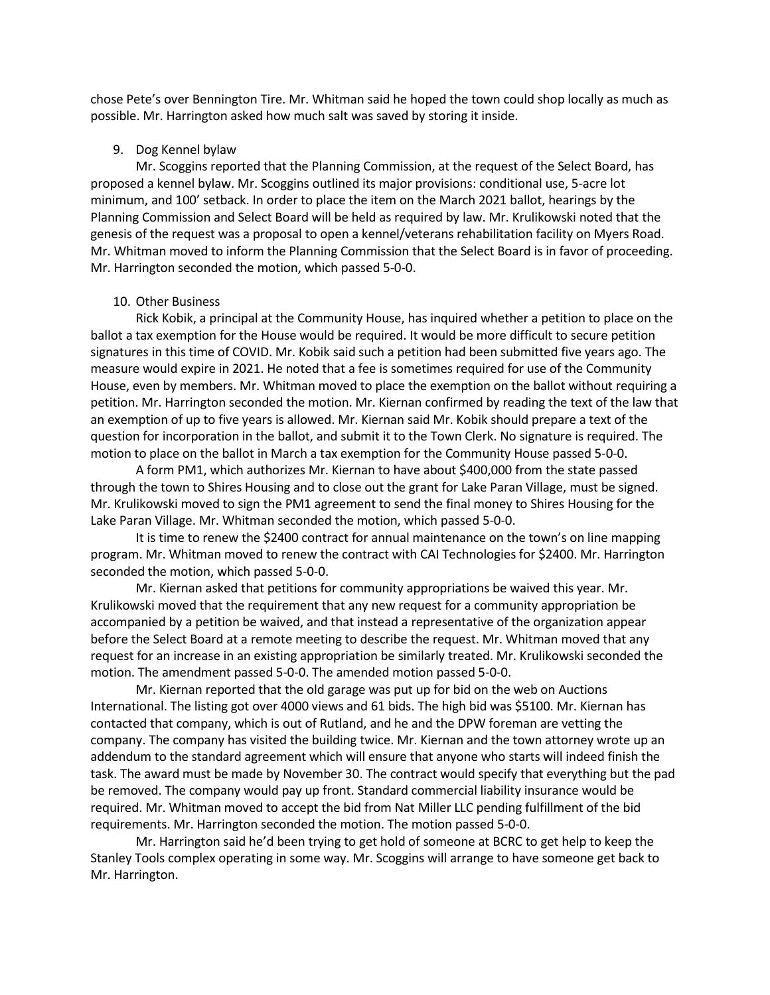chose Pete's over Bennington Tire. Mr. Whitman said he hoped the town could shop locally as much as possible. Mr. Harrington asked how much salt was saved by storing it inside.

#### 9. Dog Kennel bylaw

Mr. Scoggins reported that the Planning Commission, at the request of the Select Board, has proposed a kennel bylaw. Mr. Scoggins outlined its major provisions: conditional use, 5-acre lot minimum, and 100' setback. In order to place the item on the March 2021 ballot, hearings by the Planning Commission and Select Board will be held as required by law. Mr. Krulikowski noted that the genesis of the request was a proposal to open a kennel/veterans rehabilitation facility on Myers Road. Mr. Whitman moved to inform the Planning Commission that the Select Board is in favor of proceeding. Mr. Harrington seconded the motion, which passed 5-0-0.

#### 10. Other Business

Rick Kobik, a principal at the Community House, has inquired whether a petition to place on the ballot a tax exemption for the House would be required. It would be more difficult to secure petition signatures in this time of COVID. Mr. Kobik said such a petition had been submitted five years ago. The measure would expire in 2021. He noted that a fee is sometimes required for use of the Community House, even by members. Mr. Whitman moved to place the exemption on the ballot without requiring a petition. Mr. Harrington seconded the motion. Mr. Kiernan confirmed by reading the text of the law that an exemption of up to five years is allowed. Mr. Kiernan said Mr. Kobik should prepare a text of the question for incorporation in the ballot, and submit it to the Town Clerk. No signature is required. The motion to place on the ballot in March a tax exemption for the Community House passed 5-0-0.

A form PM1, which authorizes Mr. Kiernan to have about \$400,000 from the state passed through the town to Shires Housing and to close out the grant for Lake Paran Village, must be signed. Mr. Krulikowski moved to sign the PM1 agreement to send the final money to Shires Housing for the Lake Paran Village. Mr. Whitman seconded the motion, which passed 5-0-0.

It is time to renew the \$2400 contract for annual maintenance on the town's on line mapping program. Mr. Whitman moved to renew the contract with CAI Technologies for \$2400. Mr. Harrington seconded the motion, which passed 5-0-0.

Mr. Kiernan asked that petitions for community appropriations be waived this year. Mr. Krulikowski moved that the requirement that any new request for a community appropriation be accompanied by a petition be waived, and that instead a representative of the organization appear before the Select Board at a remote meeting to describe the request. Mr. Whitman moved that any request for an increase in an existing appropriation be similarly treated. Mr. Krulikowski seconded the motion. The amendment passed 5-0-0. The amended motion passed 5-0-0.

Mr. Kiernan reported that the old garage was put up for bid on the web on Auctions International. The listing got over 4000 views and 61 bids. The high bid was \$5100. Mr. Kiernan has contacted that company, which is out of Rutland, and he and the DPW foreman are vetting the company. The company has visited the building twice. Mr. Kiernan and the town attorney wrote up an addendum to the standard agreement which will ensure that anyone who starts will indeed finish the task. The award must be made by November 30. The contract would specify that everything but the pad be removed. The company would pay up front. Standard commercial liability insurance would be required. Mr. Whitman moved to accept the bid from Nat Miller LLC pending fulfillment of the bid requirements. Mr. Harrington seconded the motion. The motion passed 5-0-0.

Mr. Harrington said he'd been trying to get hold of someone at BCRC to get help to keep the Stanley Tools complex operating in some way. Mr. Scoggins will arrange to have someone get back to Mr. Harrington.